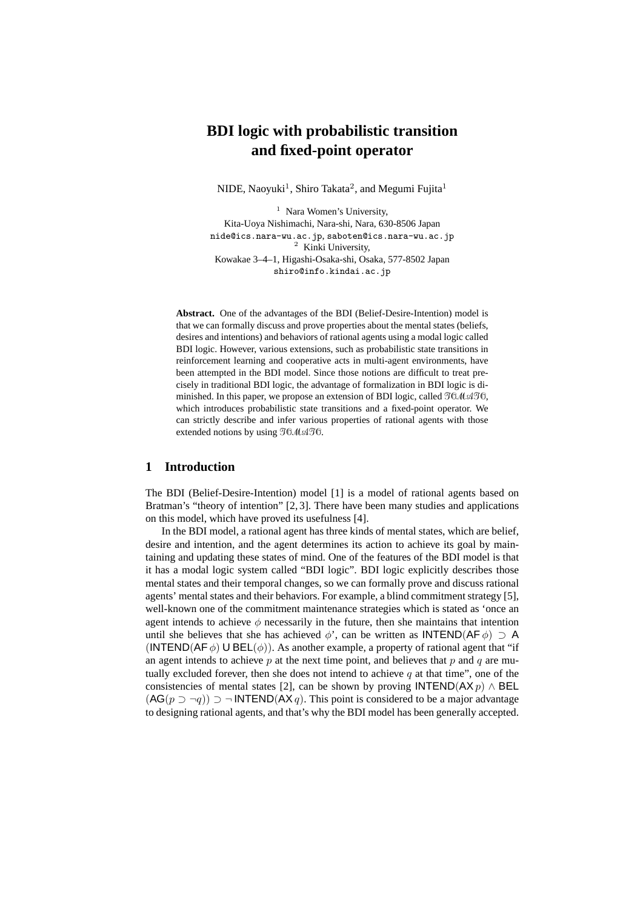# **BDI logic with probabilistic transition and fixed-point operator**

NIDE, Naoyuki<sup>1</sup>, Shiro Takata<sup>2</sup>, and Megumi Fujita<sup>1</sup>

 $<sup>1</sup>$  Nara Women's University,</sup> Kita-Uoya Nishimachi, Nara-shi, Nara, 630-8506 Japan nide@ics.nara-wu.ac.jp, saboten@ics.nara-wu.ac.jp <sup>2</sup> Kinki University, Kowakae 3–4–1, Higashi-Osaka-shi, Osaka, 577-8502 Japan shiro@info.kindai.ac.jp

**Abstract.** One of the advantages of the BDI (Belief-Desire-Intention) model is that we can formally discuss and prove properties about the mental states (beliefs, desires and intentions) and behaviors of rational agents using a modal logic called BDI logic. However, various extensions, such as probabilistic state transitions in reinforcement learning and cooperative acts in multi-agent environments, have been attempted in the BDI model. Since those notions are difficult to treat precisely in traditional BDI logic, the advantage of formalization in BDI logic is diminished. In this paper, we propose an extension of BDI logic, called *TOMATO*, which introduces probabilistic state transitions and a fixed-point operator. We can strictly describe and infer various properties of rational agents with those extended notions by using *TOMATO*.

# **1 Introduction**

The BDI (Belief-Desire-Intention) model [1] is a model of rational agents based on Bratman's "theory of intention" [2, 3]. There have been many studies and applications on this model, which have proved its usefulness [4].

In the BDI model, a rational agent has three kinds of mental states, which are belief, desire and intention, and the agent determines its action to achieve its goal by maintaining and updating these states of mind. One of the features of the BDI model is that it has a modal logic system called "BDI logic". BDI logic explicitly describes those mental states and their temporal changes, so we can formally prove and discuss rational agents' mental states and their behaviors. For example, a blind commitment strategy [5], well-known one of the commitment maintenance strategies which is stated as 'once an agent intends to achieve  $\phi$  necessarily in the future, then she maintains that intention until she believes that she has achieved  $\phi'$ , can be written as INTEND(AF  $\phi$ )  $\supset$  A (INTEND(AF  $\phi$ ) U BEL( $\phi$ )). As another example, a property of rational agent that "if an agent intends to achieve *p* at the next time point, and believes that *p* and *q* are mutually excluded forever, then she does not intend to achieve  $q$  at that time", one of the consistencies of mental states [2], can be shown by proving  $\text{INTERD}(AX\ p) \wedge \text{BEL}$ (AG( $p$  *⊃*  $\neg q$ )) *⊃*  $\neg$  **INTEND**(AX *q*). This point is considered to be a major advantage to designing rational agents, and that's why the BDI model has been generally accepted.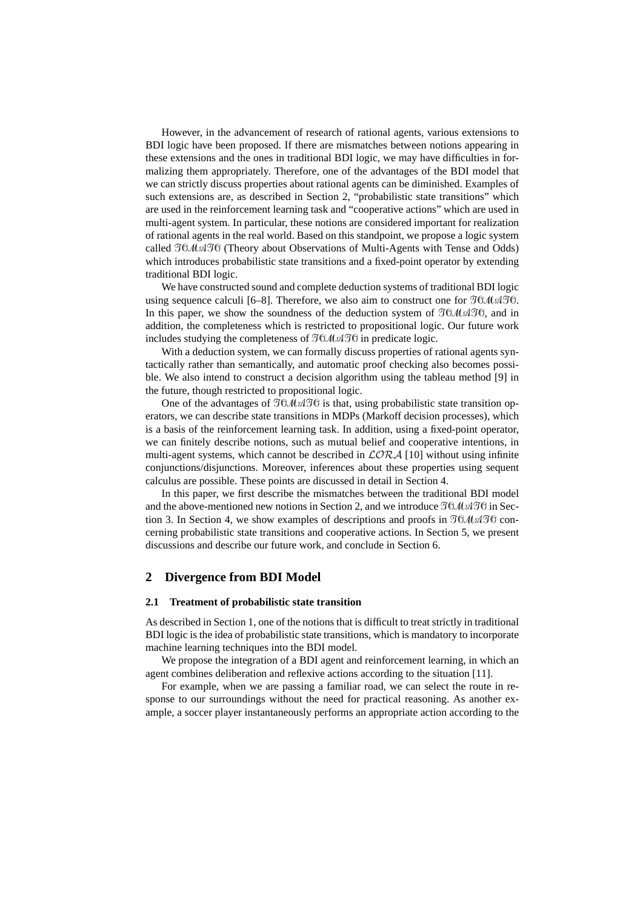However, in the advancement of research of rational agents, various extensions to BDI logic have been proposed. If there are mismatches between notions appearing in these extensions and the ones in traditional BDI logic, we may have difficulties in formalizing them appropriately. Therefore, one of the advantages of the BDI model that we can strictly discuss properties about rational agents can be diminished. Examples of such extensions are, as described in Section 2, "probabilistic state transitions" which are used in the reinforcement learning task and "cooperative actions" which are used in multi-agent system. In particular, these notions are considered important for realization of rational agents in the real world. Based on this standpoint, we propose a logic system called *TOMATO*(Theory about Observations of Multi-Agents with Tense and Odds) which introduces probabilistic state transitions and a fixed-point operator by extending traditional BDI logic.

We have constructed sound and complete deduction systems of traditional BDI logic using sequence calculi [6–8]. Therefore, we also aim to construct one for *TOMATO*. In this paper, we show the soundness of the deduction system of *TOMATO*, and in addition, the completeness which is restricted to propositional logic. Our future work includes studying the completeness of *TOMATO*in predicate logic.

With a deduction system, we can formally discuss properties of rational agents syntactically rather than semantically, and automatic proof checking also becomes possible. We also intend to construct a decision algorithm using the tableau method [9] in the future, though restricted to propositional logic.

One of the advantages of  $TOMATO$  is that, using probabilistic state transition operators, we can describe state transitions in MDPs (Markoff decision processes), which is a basis of the reinforcement learning task. In addition, using a fixed-point operator, we can finitely describe notions, such as mutual belief and cooperative intentions, in multi-agent systems, which cannot be described in *LORA* [10] without using infinite conjunctions/disjunctions. Moreover, inferences about these properties using sequent calculus are possible. These points are discussed in detail in Section 4.

In this paper, we first describe the mismatches between the traditional BDI model and the above-mentioned new notions in Section 2, and we introduce *TOMATO*in Section 3. In Section 4, we show examples of descriptions and proofs in  $\mathcal{I}0\mathcal{M}\mathcal{A}\mathcal{I}0$  concerning probabilistic state transitions and cooperative actions. In Section 5, we present discussions and describe our future work, and conclude in Section 6.

# **2 Divergence from BDI Model**

## **2.1 Treatment of probabilistic state transition**

As described in Section 1, one of the notions that is difficult to treat strictly in traditional BDI logic is the idea of probabilistic state transitions, which is mandatory to incorporate machine learning techniques into the BDI model.

We propose the integration of a BDI agent and reinforcement learning, in which an agent combines deliberation and reflexive actions according to the situation [11].

For example, when we are passing a familiar road, we can select the route in response to our surroundings without the need for practical reasoning. As another example, a soccer player instantaneously performs an appropriate action according to the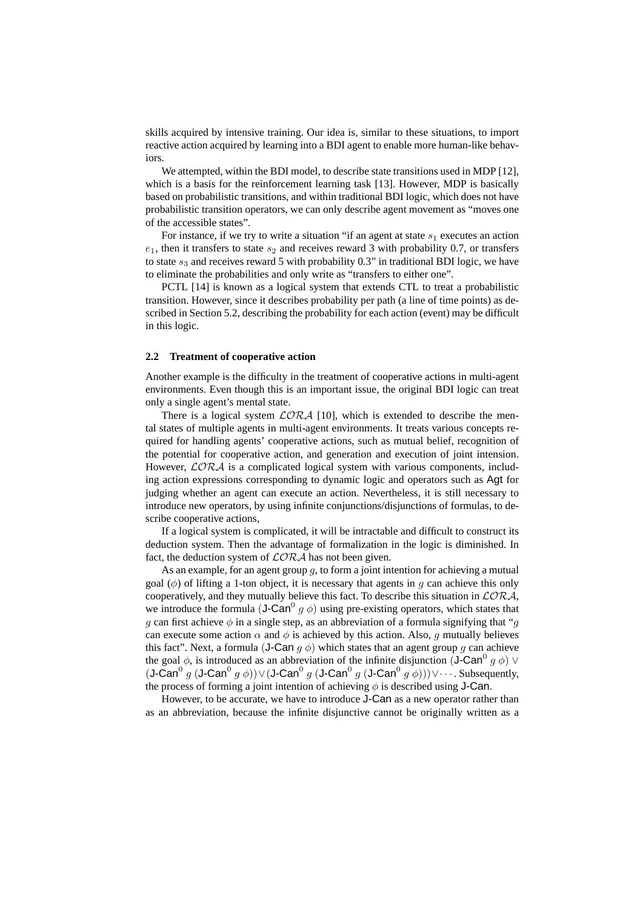skills acquired by intensive training. Our idea is, similar to these situations, to import reactive action acquired by learning into a BDI agent to enable more human-like behaviors.

We attempted, within the BDI model, to describe state transitions used in MDP [12], which is a basis for the reinforcement learning task [13]. However, MDP is basically based on probabilistic transitions, and within traditional BDI logic, which does not have probabilistic transition operators, we can only describe agent movement as "moves one of the accessible states".

For instance, if we try to write a situation "if an agent at state  $s_1$  executes an action  $e_1$ , then it transfers to state  $s_2$  and receives reward 3 with probability 0.7, or transfers to state  $s_3$  and receives reward 5 with probability 0.3" in traditional BDI logic, we have to eliminate the probabilities and only write as "transfers to either one".

PCTL [14] is known as a logical system that extends CTL to treat a probabilistic transition. However, since it describes probability per path (a line of time points) as described in Section 5.2, describing the probability for each action (event) may be difficult in this logic.

#### **2.2 Treatment of cooperative action**

Another example is the difficulty in the treatment of cooperative actions in multi-agent environments. Even though this is an important issue, the original BDI logic can treat only a single agent's mental state.

There is a logical system  $LORA$  [10], which is extended to describe the mental states of multiple agents in multi-agent environments. It treats various concepts required for handling agents' cooperative actions, such as mutual belief, recognition of the potential for cooperative action, and generation and execution of joint intension. However,  $\mathcal{L}OR\mathcal{A}$  is a complicated logical system with various components, including action expressions corresponding to dynamic logic and operators such as Agt for judging whether an agent can execute an action. Nevertheless, it is still necessary to introduce new operators, by using infinite conjunctions/disjunctions of formulas, to describe cooperative actions,

If a logical system is complicated, it will be intractable and difficult to construct its deduction system. Then the advantage of formalization in the logic is diminished. In fact, the deduction system of *LORA* has not been given.

As an example, for an agent group *g*, to form a joint intention for achieving a mutual goal (*φ*) of lifting a 1-ton object, it is necessary that agents in *g* can achieve this only cooperatively, and they mutually believe this fact. To describe this situation in *LORA*, we introduce the formula  $(J\text{-}\text{Can}^0 g \phi)$  using pre-existing operators, which states that *g* can first achieve  $\phi$  in a single step, as an abbreviation of a formula signifying that "*g* can execute some action  $\alpha$  and  $\phi$  is achieved by this action. Also, *q* mutually believes this fact". Next, a formula (**J-Can**  $q \phi$ ) which states that an agent group q can achieve the goal  $\phi$ , is introduced as an abbreviation of the infinite disjunction (J-Can<sup>0</sup>  $g \phi$ )  $\vee$ *(***J-Can**<sup>0</sup> *g* (**J-Can**<sup>0</sup> *g* φ))∨(**J-Can**<sup>0</sup> *g* (**J-Can**<sup>0</sup> *g* (**J-Can**<sup>0</sup> *g* φ)))∨· · · . Subsequently, the process of forming a joint intention of achieving  $\phi$  is described using **J-Can**.

However, to be accurate, we have to introduce J-Can as a new operator rather than as an abbreviation, because the infinite disjunctive cannot be originally written as a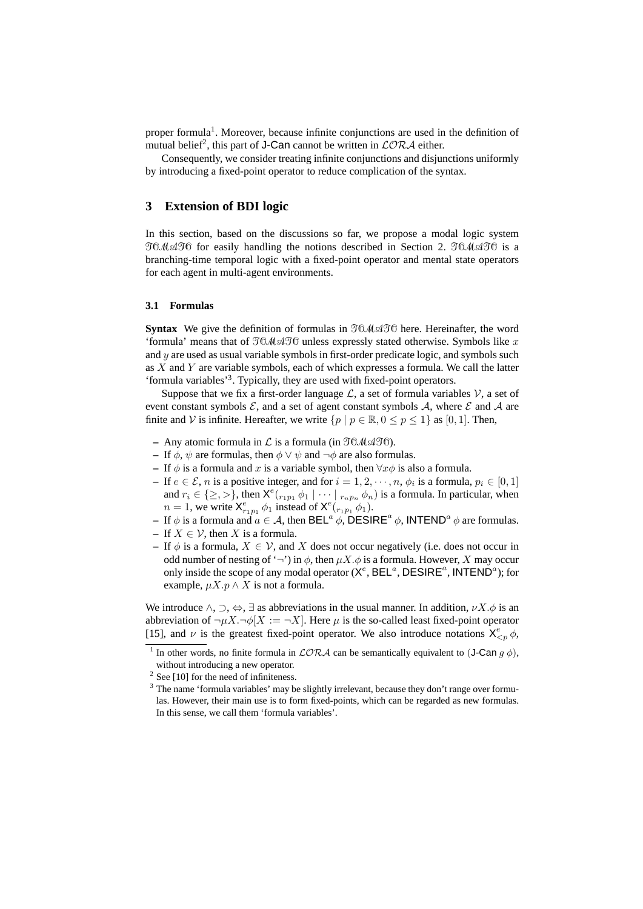proper formula<sup>1</sup>. Moreover, because infinite conjunctions are used in the definition of mutual belief<sup>2</sup>, this part of **J-Can** cannot be written in  $\mathcal{LORA}$  either.

Consequently, we consider treating infinite conjunctions and disjunctions uniformly by introducing a fixed-point operator to reduce complication of the syntax.

# **3 Extension of BDI logic**

In this section, based on the discussions so far, we propose a modal logic system *TOMATO* for easily handling the notions described in Section 2. *TOMATO* is a branching-time temporal logic with a fixed-point operator and mental state operators for each agent in multi-agent environments.

#### **3.1 Formulas**

**Syntax** We give the definition of formulas in *TOMATO*here. Hereinafter, the word 'formula' means that of *TOMATO*unless expressly stated otherwise. Symbols like *x* and *y* are used as usual variable symbols in first-order predicate logic, and symbols such as *X* and *Y* are variable symbols, each of which expresses a formula. We call the latter 'formula variables'<sup>3</sup>. Typically, they are used with fixed-point operators.

Suppose that we fix a first-order language  $\mathcal{L}$ , a set of formula variables  $\mathcal{V}$ , a set of event constant symbols  $\mathcal{E}$ , and a set of agent constant symbols  $\mathcal{A}$ , where  $\mathcal{E}$  and  $\mathcal{A}$  are finite and *V* is infinite. Hereafter, we write  $\{p \mid p \in \mathbb{R}, 0 \le p \le 1\}$  as [0, 1]. Then,

- **–** Any atomic formula in *L* is a formula (in *TOMATO*).
- **–** If  $\phi$ ,  $\psi$  are formulas, then  $\phi \lor \psi$  and  $\neg \phi$  are also formulas.
- **–** If *φ* is a formula and *x* is a variable symbol, then *∀xφ* is also a formula.
- $−$  If *e*  $∈$  *E*, *n* is a positive integer, and for  $i = 1, 2, \dots, n$ ,  $ϕ_i$  is a formula,  $p_i ∈ [0, 1]$ and  $r_i \in \{\geq, >\}$ , then  $X^e(\overline{r_1p_1 \phi_1} \mid \cdots \mid \overline{r_np_n \phi_n})$  is a formula. In particular, when *n* = 1, we write  $X_{r_1p_1}^e \phi_1$  instead of  $X_e^{(r_1r_1r_1)} \phi_1$ .
- $\overline{P}$  If  $\phi$  is a formula and  $\overline{a} \in \mathcal{A}$ , then BEL<sup>α</sup>  $\phi$ , DESIRE<sup>*a*</sup>  $\phi$ , INTEND<sup>*a*</sup>  $\phi$  are formulas.
- **–** If *X ∈ V*, then *X* is a formula.
- **–** If *φ* is a formula, *X ∈ V*, and *X* does not occur negatively (i.e. does not occur in odd number of nesting of ' $\neg$ ') in  $\phi$ , then  $\mu X.\phi$  is a formula. However, *X* may occur only inside the scope of any modal operator  $(X^e, \text{BEL}^a, \text{DESIRE}^a, \text{INTERD}^a)$ ; for example,  $\mu X. p \wedge X$  is not a formula.

We introduce  $\land$ ,  $\supset$ ,  $\Leftrightarrow$ ,  $\exists$  as abbreviations in the usual manner. In addition,  $\nu X.\phi$  is an abbreviation of  $\neg \mu X.\neg \phi[X] := \neg X$ . Here  $\mu$  is the so-called least fixed-point operator [15], and *ν* is the greatest fixed-point operator. We also introduce notations  $X^e_{\leq p} \phi$ ,

<sup>&</sup>lt;sup>1</sup> In other words, no finite formula in  $LORA$  can be semantically equivalent to (J-Can  $g \phi$ ), without introducing a new operator.

 $2$  See [10] for the need of infiniteness.

<sup>&</sup>lt;sup>3</sup> The name 'formula variables' may be slightly irrelevant, because they don't range over formulas. However, their main use is to form fixed-points, which can be regarded as new formulas. In this sense, we call them 'formula variables'.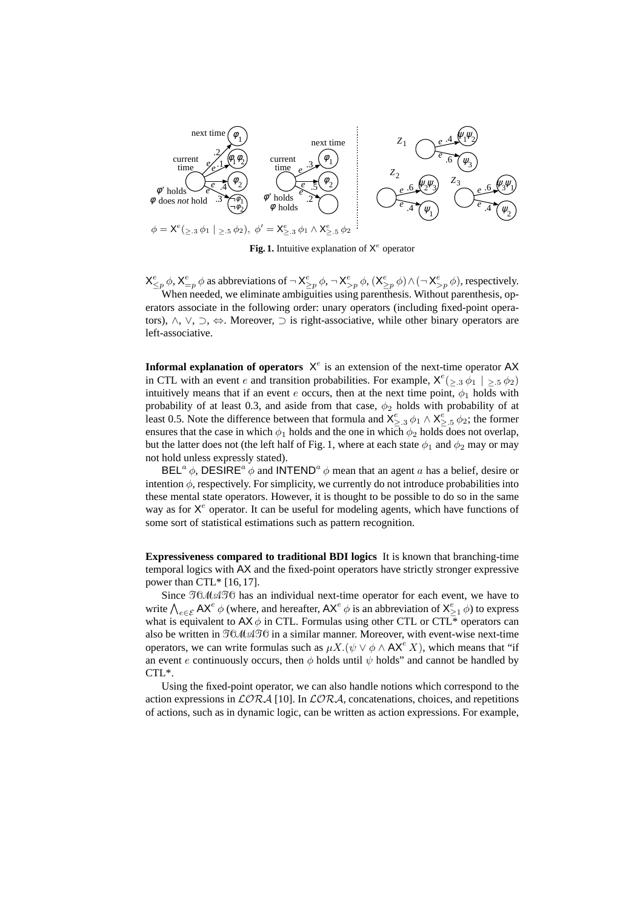

Fig. 1. Intuitive explanation of  $X^e$  operator

 $X_{\leq p}^e \phi$ ,  $X_{=p}^e \phi$  as abbreviations of  $\neg X_{\geq p}^e \phi$ ,  $\neg X_{>p}^e \phi$ ,  $(X_{\geq p}^e \phi) \wedge (\neg X_{>p}^e \phi)$ , respectively. When needed, we eliminate ambiguities using parenthesis. Without parenthesis, operators associate in the following order: unary operators (including fixed-point operators), *∧*, *∨*, *⊃*, *⇔*. Moreover, *⊃* is right-associative, while other binary operators are left-associative.

**Informal explanation of operators**  $X^e$  is an extension of the next-time operator AX in CTL with an event *e* and transition probabilities. For example,  $X^e(\geq 0.3 \phi_1 | \geq 0.5 \phi_2)$ intuitively means that if an event  $e$  occurs, then at the next time point,  $\phi_1$  holds with probability of at least 0.3, and aside from that case,  $\phi_2$  holds with probability of at least 0.5. Note the difference between that formula and  $X^e_{\geq 0.3} \phi_1 \wedge X^e_{\geq 0.5} \phi_2$ ; the former ensures that the case in which  $\phi_1$  holds and the one in which  $\phi_2$  holds does not overlap, but the latter does not (the left half of Fig. 1, where at each state  $\phi_1$  and  $\phi_2$  may or may not hold unless expressly stated).

BEL<sup>a</sup>  $\phi$ , DESIRE<sup>*a*</sup>  $\dot{\phi}$  and INTEND<sup>*a*</sup>  $\phi$  mean that an agent *a* has a belief, desire or intention  $\phi$ , respectively. For simplicity, we currently do not introduce probabilities into these mental state operators. However, it is thought to be possible to do so in the same way as for X<sup>e</sup> operator. It can be useful for modeling agents, which have functions of some sort of statistical estimations such as pattern recognition.

**Expressiveness compared to traditional BDI logics** It is known that branching-time temporal logics with AX and the fixed-point operators have strictly stronger expressive power than CTL\* [16, 17].

Since *TOMATO*has an individual next-time operator for each event, we have to write  $\bigwedge_{e \in \mathcal{E}} AX^e \phi$  (where, and hereafter,  $AX^e \phi$  is an abbreviation of  $X^e_{\geq 1} \phi$ ) to express what is equivalent to  $AX \phi$  in CTL. Formulas using other CTL or CTL<sup>\*</sup> operators can also be written in *TOMATO*in a similar manner. Moreover, with event-wise next-time operators, we can write formulas such as  $\mu X.(\psi \lor \phi \land AX^e X)$ , which means that "if an event *e* continuously occurs, then  $\phi$  holds until  $\psi$  holds" and cannot be handled by CTL\*.

Using the fixed-point operator, we can also handle notions which correspond to the action expressions in  $\mathcal{LORA}$  [10]. In  $\mathcal{LORA}$ , concatenations, choices, and repetitions of actions, such as in dynamic logic, can be written as action expressions. For example,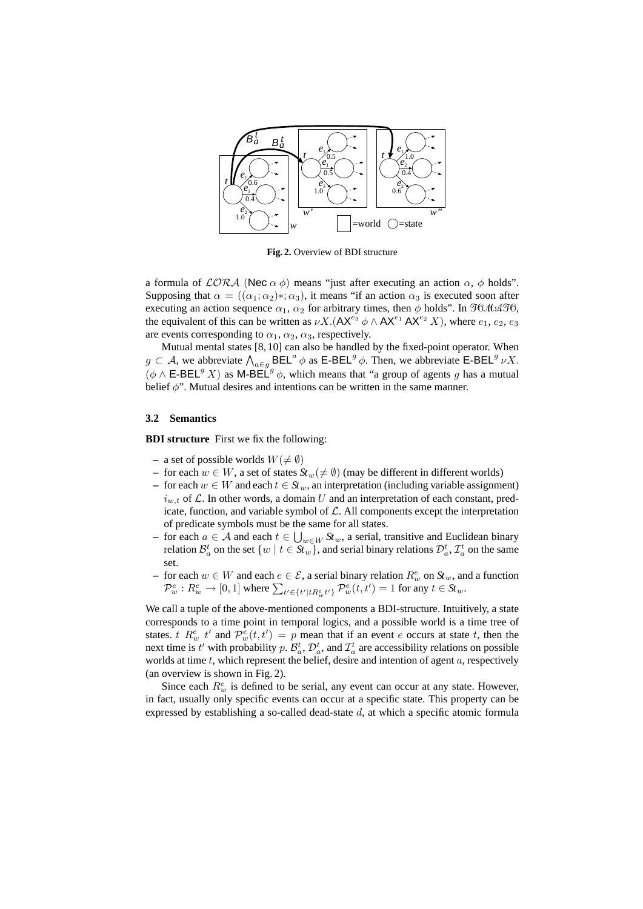

**Fig. 2.** Overview of BDI structure

a formula of *LORA* (Nec *α φ*) means "just after executing an action *α*, *φ* holds". Supposing that  $\alpha = ((\alpha_1; \alpha_2) *; \alpha_3)$ , it means "if an action  $\alpha_3$  is executed soon after executing an action sequence  $\alpha_1$ ,  $\alpha_2$  for arbitrary times, then  $\phi$  holds". In  $\mathfrak{NMAPO}$ , the equivalent of this can be written as  $\nu X$ . ( $AX^{e_3} \phi \wedge AX^{e_1}AX^{e_2}X$ ), where  $e_1, e_2, e_3$ are events corresponding to  $\alpha_1$ ,  $\alpha_2$ ,  $\alpha_3$ , respectively.

Mutual mental states [8, 10] can also be handled by the fixed-point operator. When  $g \text{ }\subset \text{ }\mathcal{A}$ , we abbreviate  $\bigwedge_{a \in g} \text{BEL}^a \phi$  as E-BEL<sup>*g*</sup>  $\phi$ . Then, we abbreviate E-BEL<sup>*g*</sup>  $\nu X$ .  $(\phi \wedge \mathsf{E-BEL}^g X)$  as M-BEL<sup>g</sup>  $\phi$ , which means that "a group of agents g has a mutual belief *φ*". Mutual desires and intentions can be written in the same manner.

## **3.2 Semantics**

**BDI structure** First we fix the following:

- $-$  a set of possible worlds  $W(\neq \emptyset)$
- **–** for each *w ∈ W*, a set of states *Stw*(*6*= *∅*) (may be different in different worlds)
- **–** for each *w ∈ W* and each *t ∈ Stw*, an interpretation (including variable assignment)  $i_{w,t}$  of  $\mathcal{L}$ . In other words, a domain U and an interpretation of each constant, predicate, function, and variable symbol of  $\mathcal L$ . All components except the interpretation of predicate symbols must be the same for all states.
- **−** for each  $a \in \mathcal{A}$  and each  $t \in \bigcup_{w \in W} St_w$ , a serial, transitive and Euclidean binary relation  $\mathcal{B}_a^t$  on the set  $\{w \mid t \in \mathcal{S}_a^r\}$ , and serial binary relations  $\mathcal{D}_a^t$ ,  $\mathcal{I}_a^t$  on the same set.
- **−** for each  $w \in W$  and each  $e \in \mathcal{E}$ , a serial binary relation  $R_w^e$  on  $St_w$ , and a function  $\mathcal{P}_w^e: R_w^e \to [0,1]$  where  $\sum_{t' \in \{t'|tR_w^e t'\}} \mathcal{P}_w^e(t,t') = 1$  for any  $t \in St_w$ .

We call a tuple of the above-mentioned components a BDI-structure. Intuitively, a state corresponds to a time point in temporal logics, and a possible world is a time tree of states. *t*  $R_w^e$  *t*' and  $\mathcal{P}_w^e(t, t') = p$  mean that if an event *e* occurs at state *t*, then the next time is  $t'$  with probability  $p$ .  $\mathcal{B}_a^t$ ,  $\mathcal{D}_a^t$ , and  $\mathcal{I}_a^t$  are accessibility relations on possible worlds at time *t*, which represent the belief, desire and intention of agent *a*, respectively (an overview is shown in Fig. 2).

Since each  $R^e_w$  is defined to be serial, any event can occur at any state. However, in fact, usually only specific events can occur at a specific state. This property can be expressed by establishing a so-called dead-state *d*, at which a specific atomic formula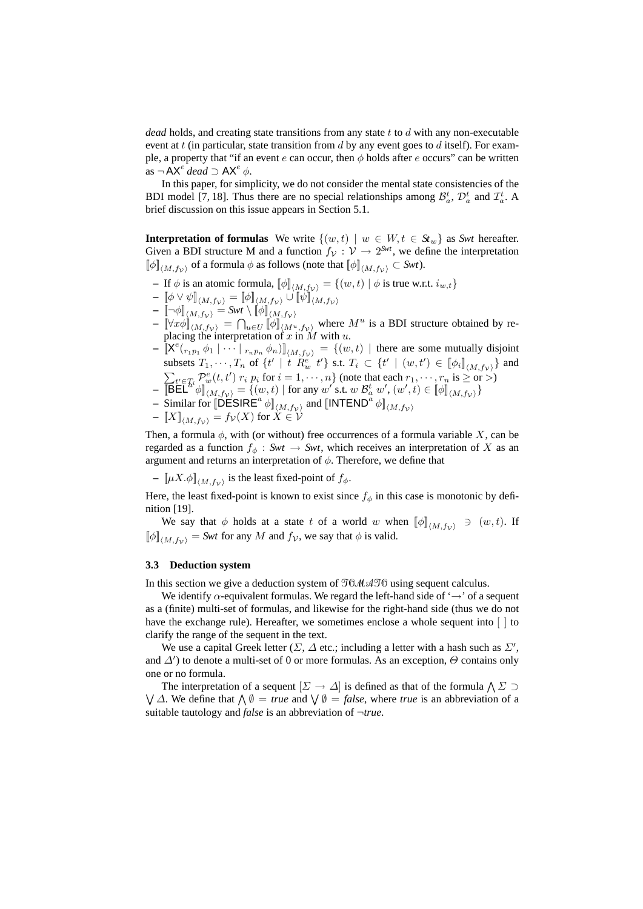*dead* holds, and creating state transitions from any state *t* to *d* with any non-executable event at *t* (in particular, state transition from *d* by any event goes to *d* itself). For example, a property that "if an event *e* can occur, then *φ* holds after *e* occurs" can be written  $\overline{\text{as}}$   $\neg$  AX<sup>e</sup> dead  $\supset$  AX<sup>e</sup>  $\phi$ .

In this paper, for simplicity, we do not consider the mental state consistencies of the BDI model [7, 18]. Thus there are no special relationships among  $\mathcal{B}_a^t$ ,  $\mathcal{D}_a^t$  and  $\mathcal{I}_a^t$ . A brief discussion on this issue appears in Section 5.1.

**Interpretation of formulas** We write  $\{(w, t) | w \in W, t \in S_t\}$  as *Swt* hereafter. Given a BDI structure M and a function  $f_V: V \to 2^{Swt}$ , we define the interpretation  $[\![\phi]\!]_{\langle M, f_V \rangle}$  of a formula  $\phi$  as follows (note that  $[\![\phi]\!]_{\langle M, f_V \rangle} \subset Swt$ ).

- **–** If *<sup>φ</sup>* is an atomic formula, [[*φ*]]*hM,f<sup>V</sup> <sup>i</sup>* <sup>=</sup> *{*(*w, t*) *<sup>|</sup> <sup>φ</sup>* is true w.r.t. *<sup>i</sup>w,t}*
- $\begin{bmatrix} \phi \vee \psi \\ M, f_{\mathcal{V}} \end{bmatrix} = [\![\phi]\!]_{\langle M, f_{\mathcal{V}} \rangle} \cup [\![\psi]\!]_{\langle M, f_{\mathcal{V}} \rangle}$
- $\begin{bmatrix} & \llbracket \neg \phi \rrbracket_{\langle M, f_V \rangle} = \mathit{Swt} \setminus \llbracket \phi \rrbracket_{\langle M, f_V \rangle} \end{bmatrix}$
- $\begin{bmatrix} \nabla \mathcal{L} \mathcal{L} \mathcal{L} \end{bmatrix}$  $\begin{bmatrix} \mathcal{L} \mathcal{L} \mathcal{L} \end{bmatrix}$  $\begin{bmatrix} \mathcal{L} \mathcal{L} \mathcal{L} \end{bmatrix}$  $\begin{bmatrix} \mathcal{L} \mathcal{L} \mathcal{L} \end{bmatrix}$  $\begin{bmatrix} \mathcal{L} \mathcal{L} \mathcal{L} \end{bmatrix}$  $\begin{bmatrix} \mathcal{L} \mathcal{L} \mathcal{L} \end{bmatrix}$  $\begin{bmatrix} \mathcal{L} \mathcal{L} \mathcal{L}$ placing the interpretation of *x* in *M* with *u*.
- $\mathbf{X} = \left[ \mathbf{X}^e(r_{1p_1} \phi_1 \mid \cdots \mid r_{n p_n} \phi_n) \right]_{\langle M, f_V \rangle} = \left\{ (w, t) \mid \text{there are some mutually disjoint} \right\}$ subsets  $T_1, \dots, T_n$  of  $\{t' \mid t \mathbb{R}^e \mid t'\}$  s.t.  $T_i \subset \{t' \mid (w, t') \in [\![\phi_i]\!]_{\langle M, f_V\rangle}\}$  and  $\sum_{i \in \mathcal{I}_i} \mathcal{P}^e_{w}(t, t') r_i p_i$  for  $i = 1, \dots, n$  (note that each  $r_1, \dots, r_n$  is  $\geq$  or  $>$ )
- $-\left[\widetilde{\mathsf{B}}\widetilde{\mathsf{E}}\widetilde{\mathsf{L}}^{a} \phi\right]_{(M,f_{\mathcal{V}})}^{\circ} = \left\{\left(w,t\right) \mid \text{for any } w' \text{ s.t. } w \mathcal{B}_{a}^{t} w', \left(w',t\right) \in \left[\phi\right]_{(M,f_{\mathcal{V}})}^{\circ}\right\}$
- $\sim$  Similar for  $\left[\text{DESIRE}^a \phi\right]_{\langle M, f_{\chi}\rangle}$  and  $\left[\text{INTERID}^a \phi\right]_{\langle M, f_{\chi}\rangle}$
- $\mathcal{L} = \llbracket X \rrbracket_{\langle M, f_\mathcal{V} \rangle} = f_\mathcal{V}(X) \text{ for } X \in \mathcal{V}$

Then, a formula  $\phi$ , with (or without) free occurrences of a formula variable *X*, can be regarded as a function  $f_{\phi}$ : *Swt*  $\rightarrow$  *Swt*, which receives an interpretation of *X* as an argument and returns an interpretation of *φ*. Therefore, we define that

 $\left[\mu X.\phi\right]_{\langle M,f_V\rangle}$  is the least fixed-point of  $f_\phi$ .

Here, the least fixed-point is known to exist since  $f_{\phi}$  in this case is monotonic by definition [19].

We say that  $\phi$  holds at a state *t* of a world *w* when  $[\![\phi]\!]_{\langle M,f_v\rangle} \ni (w,t)$ . If  $[\![\phi]\!]_{(M, f_{\mathcal{V}})} = Swt$  for any *M* and  $f_{\mathcal{V}}$ , we say that  $\phi$  is valid.

#### **3.3 Deduction system**

In this section we give a deduction system of *TOMATO*using sequent calculus.

We identify *α*-equivalent formulas. We regard the left-hand side of '*→*' of a sequent as a (finite) multi-set of formulas, and likewise for the right-hand side (thus we do not have the exchange rule). Hereafter, we sometimes enclose a whole sequent into [ ] to clarify the range of the sequent in the text.

We use a capital Greek letter ( $\Sigma$ ,  $\Delta$  etc.; including a letter with a hash such as  $\Sigma'$ , and *∆<sup>0</sup>* ) to denote a multi-set of 0 or more formulas. As an exception, *Θ* contains only one or no formula.

The interpretation of a sequent  $[\Sigma \to \Delta]$  is defined as that of the formula  $\Lambda \Sigma$   $\supset$ ∨ *∆*. We define that ∧ *∅* = *true* and ∨ *∅* = *false*, where *true* is an abbreviation of a suitable tautology and *false* is an abbreviation of *¬true*.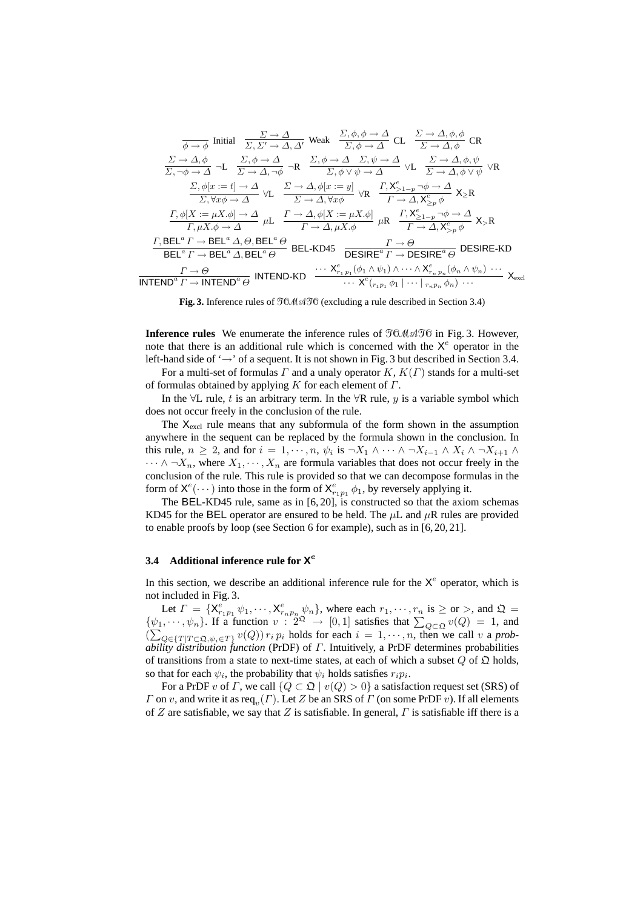$$
\frac{\Sigma \to \Delta}{\phi \to \phi} \text{ Initial } \frac{\Sigma \to \Delta}{\Sigma, \Sigma' \to \Delta, \Delta'} \text{ Weak } \frac{\Sigma, \phi, \phi \to \Delta}{\Sigma, \phi \to \Delta} \text{ CL } \frac{\Sigma \to \Delta, \phi, \phi}{\Sigma \to \Delta, \phi} \text{ CR}
$$
\n
$$
\frac{\Sigma \to \Delta, \phi}{\Sigma, \neg \phi \to \Delta} \neg L \frac{\Sigma, \phi \to \Delta}{\Sigma \to \Delta, \neg \phi} \neg R \frac{\Sigma, \phi \to \Delta}{\Sigma, \phi \lor \psi \to \Delta} \lor L \frac{\Sigma \to \Delta, \phi, \psi}{\Sigma \to \Delta, \phi \lor \psi} \lor R
$$
\n
$$
\frac{\Sigma, \phi[x := t] \to \Delta}{\Sigma, \forall x \phi \to \Delta} \lor L \frac{\Sigma \to \Delta, \phi[x := y]}{\Sigma \to \Delta, \forall x \phi} \text{ VR } \frac{\Gamma, \mathbf{X}_{\ge 1-p}^e \to \phi \to \Delta}{\Gamma \to \Delta, \mathbf{X}_{\ge p}^e \phi} \mathbf{X}_{\ge R}
$$
\n
$$
\frac{\Gamma, \phi[X := \mu X, \phi] \to \Delta}{\Gamma, \mu X, \phi \to \Delta} \mu L \frac{\Gamma \to \Delta, \phi[X := \mu X, \phi]}{\Gamma \to \Delta, \mu X, \phi} \mu R \frac{\Gamma, \mathbf{X}_{\ge 1-p}^e \to \phi \to \Delta}{\Gamma \to \Delta, \mathbf{X}_{\ge p}^e \phi} \mathbf{X}_{>R}
$$
\n
$$
\frac{\Gamma, \text{BEL}^a \Gamma \to \text{BEL}^a \Delta, \Theta, \text{BEL}^a \Theta}{\text{BEL}^a \Gamma \to \text{BEL}^a \Delta, \text{BEL}^a \Theta} \text{ BEL-KD45} \frac{\Gamma \to \Theta}{\text{DESIRE}^a \Gamma \to \text{DESIRE}^a \Theta} \text{ DESIRE-KD}
$$
\n
$$
\frac{\Gamma \to \Theta}{\text{INTEND}^a \Gamma \to \text{INTEND}^a \Theta} \text{ INTEND-KD} \frac{\cdots \mathbf{X}_{\ge 1,p}^e (\phi_1 \wedge \psi_1) \wedge \cdots \wedge \mathbf{X}_{\ge p,p}^e (\phi_n \wedge \psi_n) \cdots}{\cdots \mathbf{X}_{
$$

**Fig. 3.** Inference rules of *TOMATO*(excluding a rule described in Section 3.4)

**Inference rules** We enumerate the inference rules of *TOMATO*in Fig. 3. However, note that there is an additional rule which is concerned with the  $X^e$  operator in the left-hand side of '*→*' of a sequent. It is not shown in Fig. 3 but described in Section 3.4.

For a multi-set of formulas *Γ* and a unaly operator *K*, *K*(*Γ*) stands for a multi-set of formulas obtained by applying *K* for each element of *Γ*.

In the *∀*L rule, *t* is an arbitrary term. In the *∀*R rule, *y* is a variable symbol which does not occur freely in the conclusion of the rule.

The  $X<sub>excl</sub>$  rule means that any subformula of the form shown in the assumption anywhere in the sequent can be replaced by the formula shown in the conclusion. In this rule,  $n \geq 2$ , and for  $i = 1, \dots, n$ ,  $\psi_i$  is  $\neg X_1 \wedge \dots \wedge \neg X_{i-1} \wedge X_i \wedge \neg X_{i+1} \wedge \neg X_i$  $\cdots \wedge \neg X_n$ , where  $X_1, \dots, X_n$  are formula variables that does not occur freely in the conclusion of the rule. This rule is provided so that we can decompose formulas in the form of  $X^e(\cdots)$  into those in the form of  $X^e_{r_1p_1} \phi_1$ , by reversely applying it.

The BEL-KD45 rule, same as in [6, 20], is constructed so that the axiom schemas KD45 for the BEL operator are ensured to be held. The *µ*L and *µ*R rules are provided to enable proofs by loop (see Section 6 for example), such as in [6, 20, 21].

# **3.4 Additional inference rule for X** *e*

In this section, we describe an additional inference rule for the  $X^e$  operator, which is not included in Fig. 3.

Let  $\Gamma = \{X_{r_1p_1}^e \psi_1, \cdots, X_{r_np_n}^e \psi_n\}$ , where each  $r_1, \cdots, r_n$  is  $\geq$  or  $>$ , and  $\mathfrak{Q} =$  $\{\psi_1, \dots, \psi_n\}$ . If a function  $v : 2^{\Omega} \to [0, 1]$  satisfies that  $\sum_{Q \subset \Omega} v(Q) = 1$ , and  $(\sum_{Q \in \{T | T \subset \mathfrak{Q}, \psi_i \in T\}} v(Q)) r_i p_i$  holds for each  $i = 1, \dots, n$ , then we call v a prob*ability distribution function* (PrDF) of *Γ*. Intuitively, a PrDF determines probabilities of transitions from a state to next-time states, at each of which a subset  $\overline{Q}$  of  $\overline{Q}$  holds, so that for each  $\psi_i$ , the probability that  $\psi_i$  holds satisfies  $r_i p_i$ .

For a PrDF *v* of *Γ*, we call  $\{Q \subset \mathfrak{Q} \mid v(Q) > 0\}$  a satisfaction request set (SRS) of *Γ* on *v*, and write it as req*<sup>v</sup>* (*Γ*). Let *Z* be an SRS of *Γ* (on some PrDF *v*). If all elements of *Z* are satisfiable, we say that *Z* is satisfiable. In general, *Γ* is satisfiable iff there is a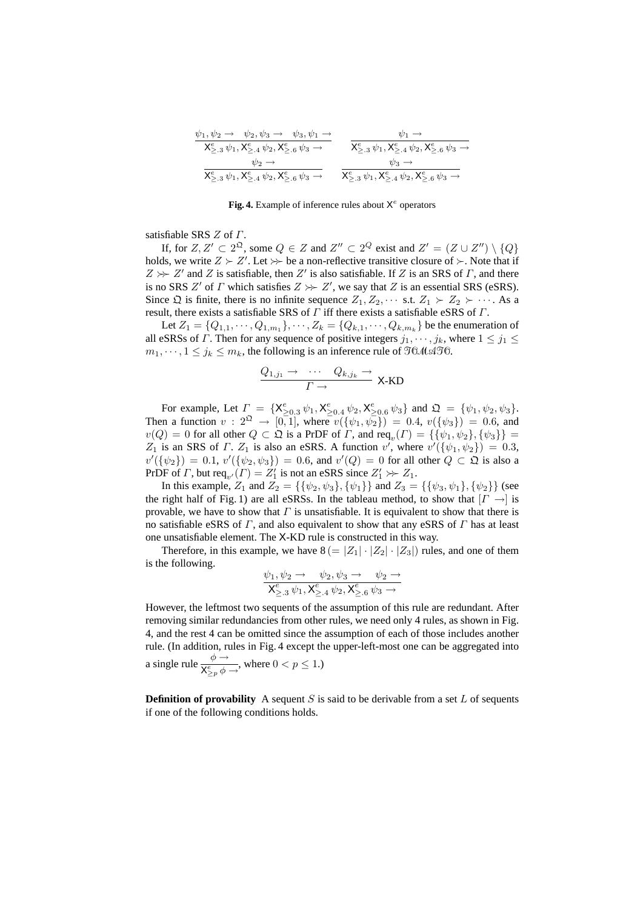| $\psi_1, \psi_2 \rightarrow \psi_2, \psi_3 \rightarrow \psi_3, \psi_1 \rightarrow$ | $\psi_1 \rightarrow$                                                              |
|------------------------------------------------------------------------------------|-----------------------------------------------------------------------------------|
| $X_{\geq 0.3}^e \psi_1, X_{\geq 0.4}^e \psi_2, X_{\geq 0.6}^e \psi_3 \rightarrow$  | $X_{\geq 0.3}^e \psi_1, X_{\geq 0.4}^e \psi_2, X_{\geq 0.6}^e \psi_3 \rightarrow$ |
| $\psi_2 \rightarrow$                                                               | $\psi_3 \rightarrow$                                                              |
| $X_{\geq 0.3}^e \psi_1, X_{\geq 0.4}^e \psi_2, X_{\geq 0.6}^e \psi_3 \rightarrow$  | $X_{\geq 0.3}^e \psi_1, X_{\geq 0.4}^e \psi_2, X_{\geq 0.6}^e \psi_3 \rightarrow$ |

Fig. 4. Example of inference rules about X<sup>e</sup> operators

satisfiable SRS *Z* of *Γ*.

If, for  $Z, Z' \subset 2^{\Omega}$ , some  $Q \in Z$  and  $Z'' \subset 2^Q$  exist and  $Z' = (Z \cup Z'') \setminus \{Q\}$ holds, we write  $Z \succ Z'$ . Let  $\gg$  be a non-reflective transitive closure of  $\succ$ . Note that if  $Z \rightarrow Z'$  and *Z* is satisfiable, then *Z'* is also satisfiable. If *Z* is an SRS of *Γ*, and there is no SRS *Z'* of *Γ* which satisfies  $Z \gg Z'$ , we say that *Z* is an essential SRS (eSRS). Since  $\Omega$  is finite, there is no infinite sequence  $Z_1, Z_2, \cdots$  s.t.  $Z_1 \succ Z_2 \succ \cdots$ . As a result, there exists a satisfiable SRS of *Γ* iff there exists a satisfiable eSRS of *Γ*.

Let  $Z_1 = \{Q_{1,1}, \dots, Q_{1,m_1}\}, \dots, Z_k = \{Q_{k,1}, \dots, Q_{k,m_k}\}$  be the enumeration of all eSRSs of *Γ*. Then for any sequence of positive integers  $j_1, \dots, j_k$ , where  $1 \leq j_1 \leq j_2$  $m_1, \dots, 1 \leq j_k \leq m_k$ , the following is an inference rule of  $\mathfrak{I}0\mathcal{M}\mathfrak{A}\mathfrak{I}0$ .

$$
\frac{Q_{1,j_1} \to \cdots Q_{k,j_k} \to}{\Gamma \to} X\text{-}\mathrm{KD}
$$

For example, Let  $\Gamma = \{X_{\geq 0.3}^e \psi_1, X_{\geq 0.4}^e \psi_2, X_{\geq 0.6}^e \psi_3\}$  and  $\mathfrak{Q} = \{\psi_1, \psi_2, \psi_3\}.$ Then a function  $v : 2^{\Omega} \rightarrow [0, 1]$ , where  $v(\{\psi_1, \psi_2\}) = 0.4$ ,  $v(\{\psi_3\}) = 0.6$ , and  $v(Q) = 0$  for all other  $Q \subset \mathfrak{Q}$  is a PrDF of *Γ*, and req<sub>*v*</sub>(*Γ*) = {{ $\psi_1, \psi_2$ }, { $\psi_3$ }} = *Z*<sub>1</sub> is an SRS of *Γ*. *Z*<sub>1</sub> is also an eSRS. A function *v'*, where  $v'(\{\psi_1, \psi_2\}) = 0.3$ ,  $v'(\{\psi_2\}) = 0.1, v'(\{\psi_2, \psi_3\}) = 0.6$ , and  $v'(Q) = 0$  for all other  $Q \subset \mathfrak{Q}$  is also a PrDF of *Γ*, but req<sub>v'</sub>(*Γ*) =  $Z'_1$  is not an eSRS since  $Z'_1 \gg Z_1$ .

In this example, *Z*<sub>1</sub> and *Z*<sub>2</sub> = {{ $\psi_2, \psi_3$ }, { $\psi_1$ }} and *Z*<sub>3</sub> = {{ $\psi_3, \psi_1$ }, { $\psi_2$ }} (see the right half of Fig. 1) are all eSRSs. In the tableau method, to show that  $|I \rightarrow$  is provable, we have to show that  $\Gamma$  is unsatisfiable. It is equivalent to show that there is no satisfiable eSRS of *Γ*, and also equivalent to show that any eSRS of *Γ* has at least one unsatisfiable element. The X-KD rule is constructed in this way.

Therefore, in this example, we have  $8 (= |Z_1| \cdot |Z_2| \cdot |Z_3|)$  rules, and one of them is the following.

$$
\frac{\psi_1, \psi_2 \to \psi_2, \psi_3 \to \psi_2 \to}{X_{\geq .3}^e \psi_1, X_{\geq .4}^e \psi_2, X_{\geq .6}^e \psi_3 \to}
$$

However, the leftmost two sequents of the assumption of this rule are redundant. After removing similar redundancies from other rules, we need only 4 rules, as shown in Fig. 4, and the rest 4 can be omitted since the assumption of each of those includes another rule. (In addition, rules in Fig. 4 except the upper-left-most one can be aggregated into a single rule  $\frac{\phi \rightarrow}{\sqrt{e^+}}$  $\frac{\varphi}{\mathsf{X}_{\geq p}^e \phi \to}$ , where  $0 < p \leq 1$ .)

**Definition of provability** A sequent *S* is said to be derivable from a set  $L$  of sequents if one of the following conditions holds.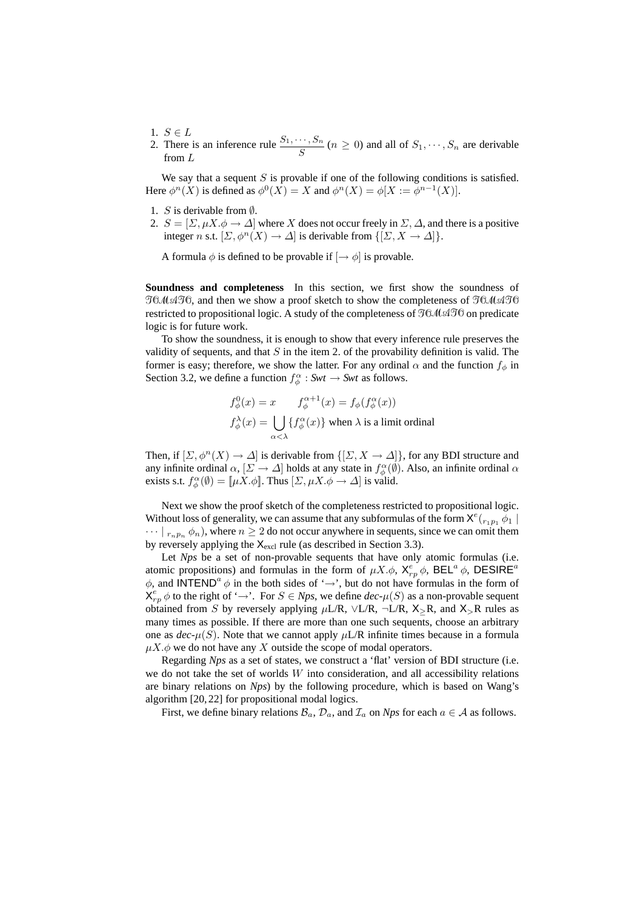- 1. *S* ∈ *L*
- 2. There is an inference rule  $\frac{S_1, \dots, S_n}{S}$   $(n \ge 0)$  and all of  $S_1, \dots, S_n$  are derivable from *L*

We say that a sequent *S* is provable if one of the following conditions is satisfied. Here  $\phi^n(X)$  is defined as  $\phi^0(X) = X$  and  $\phi^n(X) = \phi[X := \phi^{n-1}(X)]$ .

- 1. *S* is derivable from *∅*.
- 2.  $S = [\Sigma, \mu X.\phi \rightarrow \Delta]$  where *X* does not occur freely in  $\Sigma$ ,  $\Delta$ , and there is a positive integer *n* s.t.  $[\Sigma, \phi^n(X) \to \Delta]$  is derivable from  $\{[\Sigma, X \to \Delta]\}.$

A formula  $\phi$  is defined to be provable if  $\left[\rightarrow \phi\right]$  is provable.

**Soundness and completeness** In this section, we first show the soundness of *TOMATO*, and then we show a proof sketch to show the completeness of *TOMATO* restricted to propositional logic. A study of the completeness of *TOMATO*on predicate logic is for future work.

To show the soundness, it is enough to show that every inference rule preserves the validity of sequents, and that *S* in the item 2. of the provability definition is valid. The former is easy; therefore, we show the latter. For any ordinal  $\alpha$  and the function  $f_{\phi}$  in Section 3.2, we define a function  $f^{\alpha}_{\phi}$ : *Swt*  $\rightarrow$  *Swt* as follows.

$$
f_{\phi}^{0}(x) = x \t f_{\phi}^{\alpha+1}(x) = f_{\phi}(f_{\phi}^{\alpha}(x))
$$
  

$$
f_{\phi}^{\lambda}(x) = \bigcup_{\alpha < \lambda} \{ f_{\phi}^{\alpha}(x) \}
$$
 when  $\lambda$  is a limit ordinal

Then, if  $[\Sigma, \phi^n(X) \to \Delta]$  is derivable from  $\{[\Sigma, X \to \Delta]\}\)$ , for any BDI structure and any infinite ordinal  $\alpha$ ,  $[\Sigma \to \Delta]$  holds at any state in  $f^{\alpha}_{\phi}(\emptyset)$ . Also, an infinite ordinal  $\alpha$ exists s.t.  $f_{\phi}^{\alpha}(\emptyset) = [\mu X \cdot \phi]$ . Thus  $[\Sigma, \mu X \cdot \phi \to \Delta]$  is valid.

Next we show the proof sketch of the completeness restricted to propositional logic. Without loss of generality, we can assume that any subformulas of the form  $X^e({}_{r_1p_1}\phi_1)$  $\cdots |_{r_n p_n} \phi_n$ , where  $n \geq 2$  do not occur anywhere in sequents, since we can omit them by reversely applying the  $X<sub>excl</sub>$  rule (as described in Section 3.3).

Let *Nps* be a set of non-provable sequents that have only atomic formulas (i.e. atomic propositions) and formulas in the form of  $\mu X.\phi$ ,  $X_{rp}^e \phi$ , BEL<sup>a</sup>  $\phi$ , DESIRE<sup>*a*</sup>  $\phi$ , and INTEND<sup>*a*</sup>  $\phi$  in the both sides of ' $\rightarrow$ ', but do not have formulas in the form of  $X_{rp}^e \phi$  to the right of '→'. For  $S \in Nps$ , we define  $dec-\mu(S)$  as a non-provable sequent obtained from *S* by reversely applying  $\mu$ L/R,  $\vee$ L/R,  $\neg$ L/R,  $X$ >R, and  $X$ >R rules as many times as possible. If there are more than one such sequents, choose an arbitrary one as  $dec<sub>\perp</sub>(S)$ . Note that we cannot apply  $\mu$ L/R infinite times because in a formula  $\mu X.\phi$  we do not have any X outside the scope of modal operators.

Regarding *Nps* as a set of states, we construct a 'flat' version of BDI structure (i.e. we do not take the set of worlds *W* into consideration, and all accessibility relations are binary relations on *Nps*) by the following procedure, which is based on Wang's algorithm [20, 22] for propositional modal logics.

First, we define binary relations  $B_a$ ,  $D_a$ , and  $\mathcal{I}_a$  on *Nps* for each  $a \in \mathcal{A}$  as follows.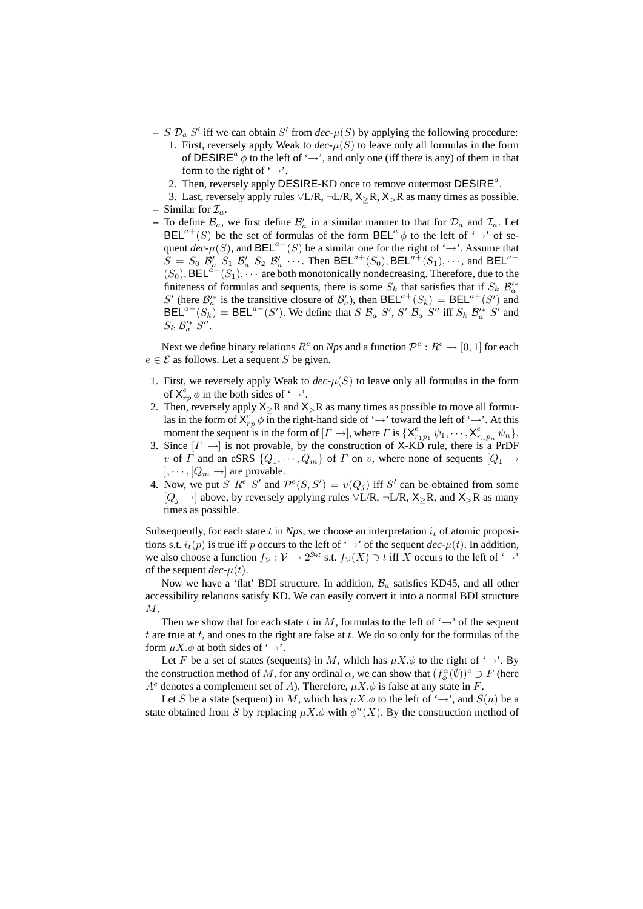- $S \mathcal{D}_a S'$  iff we can obtain *S'* from *dec*- $\mu(S)$  by applying the following procedure: 1. First, reversely apply Weak to  $dec<sub>+</sub>(S)$  to leave only all formulas in the form
	- of DESIRE<sup>*a*</sup>  $\phi$  to the left of ' $\rightarrow$ ', and only one (iff there is any) of them in that form to the right of '*→*'.
	- 2. Then, reversely apply DESIRE-KD once to remove outermost DESIRE*<sup>a</sup>* .
- 3. Last, reversely apply rules *∨*L/R, *¬*L/R, X*≥*R, X*>*R as many times as possible.  $-$  Similar for  $\mathcal{I}_a$ .
- $-$  To define  $\mathcal{B}_a$ , we first define  $\mathcal{B}'_a$  in a similar manner to that for  $\mathcal{D}_a$  and  $\mathcal{I}_a$ . Let  $BEL^{a+}(S)$  be the set of formulas of the form  $BEL^{a} \phi$  to the left of ' $\rightarrow$ ' of sequent  $dec$ - $\mu(S)$ , and  $BEL^{a-}(S)$  be a similar one for the right of ' $\rightarrow$ '. Assume that  $S = S_0 \mathcal{B}'_a S_1 \mathcal{B}'_a S_2 \mathcal{B}'_a \cdots$  Then BEL<sup>a+</sup>(S<sub>0</sub>), BEL<sup>a+</sup>(S<sub>1</sub>),  $\cdots$ , and BEL<sup>a-</sup>  $(S_0)$ , BEL<sup>a<sup> $-$ </sup> $(S_1)$ ,  $\cdots$  are both monotonically nondecreasing. Therefore, due to the</sup> finiteness of formulas and sequents, there is some  $S_k$  that satisfies that if  $S_k$   $\mathcal{B}'_a^*$ *S*<sup> $\prime$ </sup> (here  $\mathcal{B}'_a$ <sup>*a*</sup> is the transitive closure of  $\mathcal{B}'_a$ ), then BEL<sup>a+</sup>(*S<sub>k</sub>*) = BEL<sup>a+</sup>(*S'*) and  $BEL^{a-}(S_k)$  = BEL<sup>a-</sup>(S'). We define that S  $B_a$  S', S'  $B_a$  S'' iff  $S_k$   $B_a^*$  S'' and  $S_k$   $\mathcal{B}'^*_a$   $S''$ .

Next we define binary relations  $R^e$  on *Nps* and a function  $\mathcal{P}^e: R^e \to [0,1]$  for each  $e \in \mathcal{E}$  as follows. Let a sequent *S* be given.

- 1. First, we reversely apply Weak to  $dec<sub>+</sub>(S)$  to leave only all formulas in the form of  $X_{rp}^e \phi$  in the both sides of ' $\rightarrow$ '.
- 2. Then, reversely apply X*≥*R and X*>*R as many times as possible to move all formulas in the form of  $X_{rp}^e \phi$  in the right-hand side of ' $\rightarrow$ ' toward the left of ' $\rightarrow$ '. At this moment the sequent is in the form of  $[I \rightarrow]$ , where  $\Gamma$  is  $\{X_{r_1p_1}^e \psi_1, \cdots, X_{r_np_n}^e \psi_n\}$ .
- 3. Since  $[F \rightarrow]$  is not provable, by the construction of X-KD rule, there is a PrDF *v* of *Γ* and an eSRS  $\{Q_1, \dots, Q_m\}$  of *Γ* on *v*, where none of sequents  $[Q_1 \rightarrow$  $\vert$ ,  $\cdots$ ,  $\vert Q_m \rightarrow \vert$  are provable.
- 4. Now, we put *S*  $R^e$  *S'* and  $\mathcal{P}^e(S, S') = v(Q_j)$  iff *S'* can be obtained from some [*Q<sup>j</sup> →*] above, by reversely applying rules *∨*L/R, *¬*L/R, X*≥*R, and X*>*R as many times as possible.

Subsequently, for each state  $t$  in  $Nps$ , we choose an interpretation  $i_t$  of atomic propositions s.t.  $i_t(p)$  is true iff *p* occurs to the left of ' $\rightarrow$ ' of the sequent *dec*- $\mu(t)$ . In addition, we also choose a function  $f_V: V \to 2^{Swt}$  s.t.  $f_V(X) \ni t$  iff  $X$  occurs to the left of ' $\to$ ' of the sequent  $dec$ - $\mu(t)$ .

Now we have a 'flat' BDI structure. In addition, *B<sup>a</sup>* satisfies KD45, and all other accessibility relations satisfy KD. We can easily convert it into a normal BDI structure *M*.

Then we show that for each state  $t$  in  $M$ , formulas to the left of ' $\rightarrow$ ' of the sequent *t* are true at *t*, and ones to the right are false at *t*. We do so only for the formulas of the form  $\mu X.\phi$  at both sides of ' $\rightarrow$ '.

Let *F* be a set of states (sequents) in *M*, which has  $\mu X.\phi$  to the right of ' $\rightarrow$ '. By the construction method of *M*, for any ordinal  $\alpha$ , we can show that  $(f_{\phi}^{\alpha}(\emptyset))^c \supset F$  (here  $A^c$  denotes a complement set of *A*). Therefore,  $\mu X.\phi$  is false at any state in *F*.

Let *S* be a state (sequent) in *M*, which has  $\mu X.\phi$  to the left of ' $\rightarrow$ ', and  $S(n)$  be a state obtained from *S* by replacing  $\mu X.\phi$  with  $\phi^n(X)$ . By the construction method of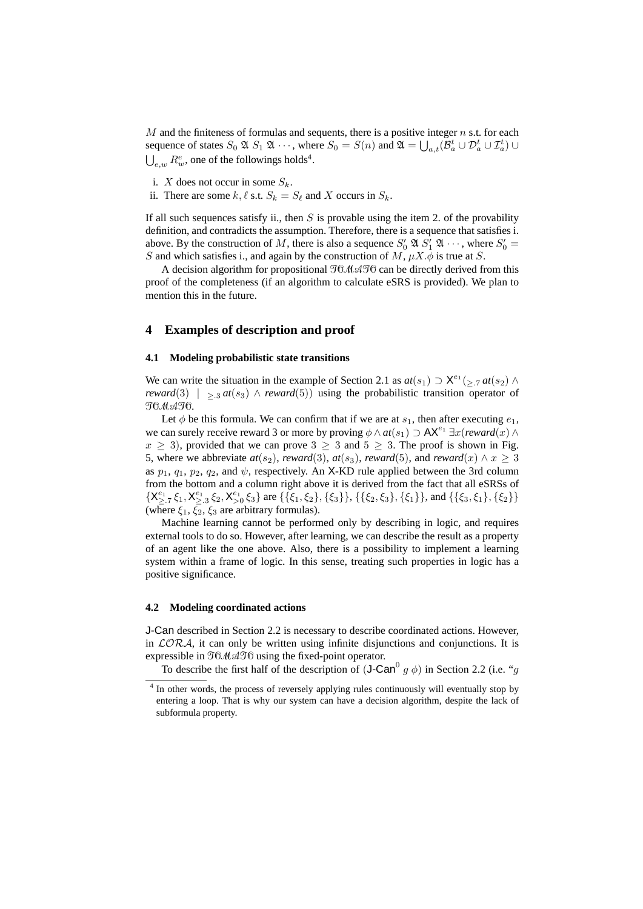*M* and the finiteness of formulas and sequents, there is a positive integer *n* s.t. for each sequence of states  $S_0 \mathfrak{A} S_1 \mathfrak{A} \cdots$ , where  $S_0 = S(n)$  and  $\mathfrak{A} = \bigcup_{a,t} (\mathcal{B}_a^t \cup \mathcal{D}_a^t \cup \mathcal{I}_a^t) \cup$  $\bigcup_{e,w} R_w^e$ , one of the followings holds<sup>4</sup>.

- i. *X* does not occur in some  $S_k$ .
- ii. There are some  $k, \ell$  s.t.  $S_k = S_\ell$  and *X* occurs in  $S_k$ .

If all such sequences satisfy ii., then *S* is provable using the item 2. of the provability definition, and contradicts the assumption. Therefore, there is a sequence that satisfies i. above. By the construction of M, there is also a sequence  $S'_0 \mathfrak{A} S'_1 \mathfrak{A} \cdots$ , where  $S'_0 =$ *S* and which satisfies i., and again by the construction of  $M$ ,  $\mu X \dot{\phi}$  is true at *S*.

A decision algorithm for propositional *TOMATO*can be directly derived from this proof of the completeness (if an algorithm to calculate eSRS is provided). We plan to mention this in the future.

## **4 Examples of description and proof**

### **4.1 Modeling probabilistic state transitions**

We can write the situation in the example of Section 2.1 as  $at(s_1) \supset X^{e_1}({}_{\geq .7}at(s_2) \wedge$ *reward*(3)  $|$   $>$ <sub>3</sub> *at*(*s*<sub>3</sub>)  $\wedge$  *reward*(5)) using the probabilistic transition operator of *TOMATO*.

Let  $\phi$  be this formula. We can confirm that if we are at  $s_1$ , then after executing  $e_1$ , we can surely receive reward 3 or more by proving  $\phi \wedge at(s_1) \supset \mathsf{AX}^{e_1} \exists x(\text{reward}(x) \wedge$  $x > 3$ ), provided that we can prove  $3 > 3$  and  $5 > 3$ . The proof is shown in Fig. 5, where we abbreviate  $at(s_2)$ , *reward*(3),  $at(s_3)$ , *reward*(5), and *reward*(*x*)  $\land$  *x*  $\geq$  3 as  $p_1$ ,  $q_1$ ,  $p_2$ ,  $q_2$ , and  $\psi$ , respectively. An X-KD rule applied between the 3rd column from the bottom and a column right above it is derived from the fact that all eSRSs of  $\{X_{\geq.7}^{e_1}\xi_1, X_{\geq.3}^{e_1}\xi_2, X_{\geq 0}^{e_1}\xi_3\}$  are  $\{\{\xi_1,\xi_2\},\{\xi_3\}\},\{\{\xi_2,\xi_3\},\{\xi_1\}\},$  and  $\{\{\xi_3,\xi_1\},\{\xi_2\}\}$ (where  $\xi_1$ ,  $\xi_2$ ,  $\xi_3$  are arbitrary formulas).

Machine learning cannot be performed only by describing in logic, and requires external tools to do so. However, after learning, we can describe the result as a property of an agent like the one above. Also, there is a possibility to implement a learning system within a frame of logic. In this sense, treating such properties in logic has a positive significance.

### **4.2 Modeling coordinated actions**

J-Can described in Section 2.2 is necessary to describe coordinated actions. However, in *LORA*, it can only be written using infinite disjunctions and conjunctions. It is expressible in  $T_0M$ ATC using the fixed-point operator.

To describe the first half of the description of  $(J-Can^0 g \phi)$  in Section 2.2 (i.e. "*g* 

<sup>&</sup>lt;sup>4</sup> In other words, the process of reversely applying rules continuously will eventually stop by entering a loop. That is why our system can have a decision algorithm, despite the lack of subformula property.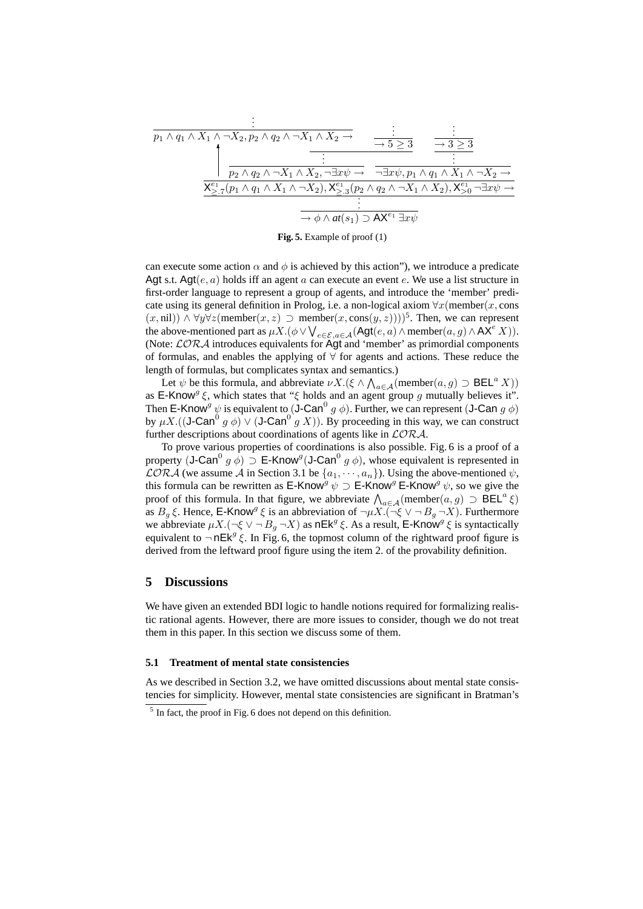$$
\frac{\begin{array}{c}\n\vdots \\
\frac{\partial}{\partial y_1 \wedge q_1 \wedge X_1 \wedge \neg X_2, p_2 \wedge q_2 \wedge \neg X_1 \wedge X_2 \rightarrow}{\neg X_1 \wedge X_2 \rightarrow} & \frac{\neg X_2 \rightarrow \neg X_3 \wedge \neg X_4 \wedge \neg X_2 \rightarrow}{\neg X_2 \rightarrow} \\
\frac{\frac{\partial}{\partial y_1 \wedge q_2 \wedge \neg X_1 \wedge X_2, \neg \exists x \psi \rightarrow}{\neg X_2 \rightarrow} & \frac{\neg X_2 \rightarrow p_1 \wedge q_1 \wedge X_1 \wedge \neg X_2 \rightarrow}{\neg X_1 \wedge X_1 \wedge \neg X_2 \rightarrow} \\
\frac{\frac{\partial}{\partial y_1 \wedge q_1 \wedge X_1 \wedge \neg X_2 \rightarrow X_2 \wedge \neg X_1 \wedge X_2 \rightarrow X_1 \wedge X_2 \rightarrow}{\neg X_1 \wedge X_2 \rightarrow X_1 \wedge X_2 \rightarrow X_2 \rightarrow} \\
\frac{\frac{\partial}{\partial y_1 \wedge q_1 \wedge X_1 \wedge \neg X_2 \rightarrow X_2 \wedge \neg X_1 \wedge X_2 \rightarrow X_1 \wedge X_2 \rightarrow}{\neg X_1 \wedge X_2 \rightarrow X_1 \wedge X_2 \rightarrow X_1 \wedge X_2 \rightarrow X_1 \wedge X_2 \rightarrow X_1 \wedge X_2 \rightarrow X_1 \wedge X_2 \rightarrow}\n\end{array}
$$

**Fig. 5.** Example of proof (1)

can execute some action  $\alpha$  and  $\phi$  is achieved by this action"), we introduce a predicate Agt s.t. Agt(*e, a*) holds iff an agent *a* can execute an event *e*. We use a list structure in first-order language to represent a group of agents, and introduce the 'member' predicate using its general definition in Prolog, i.e. a non-logical axiom  $\forall x$ (member(*x*, cons  $(x, \text{nil})$  ∧  $\forall y \forall z (\text{member}(x, z) \supset \text{member}(x, \text{cons}(y, z))))$ <sup>5</sup>. Then, we can represent the above-mentioned part as  $\mu X.(\phi \vee \bigvee_{e \in \mathcal{E}, a \in \mathcal{A}} (\mathsf{Agt}(e, a) \wedge \text{member}(a, g) \wedge \mathsf{A}\hat{\mathbf{X}}^e X)).$ (Note: *LORA* introduces equivalents for Agt and 'member' as primordial components of formulas, and enables the applying of *∀* for agents and actions. These reduce the length of formulas, but complicates syntax and semantics.)

Let  $\psi$  be this formula, and abbreviate  $\nu X$ .( $\xi \wedge \bigwedge_{a \in \mathcal{A}} (\text{member}(a, g) \supset \text{BEL}^a X))$ as E-Know<sup>g</sup>  $\xi$ , which states that " $\xi$  holds and an agent group g mutually believes it". Then **E-Know**<sup>*g*</sup>  $\psi$  is equivalent to (J-Can<sup>0</sup> *g*  $\phi$ ). Further, we can represent (J-Can *g*  $\phi$ ) by  $\mu X$ .((**J-Can**<sup>0</sup>  $g \phi$ )  $\vee$  (**J-Can**<sup>0</sup>  $g X$ )). By proceeding in this way, we can construct further descriptions about coordinations of agents like in *LORA*.

To prove various properties of coordinations is also possible. Fig. 6 is a proof of a property  $(J\text{-Can}^0 g \phi) \supseteq \text{E-Know}^g(J\text{-Can}^0 g \phi)$ , whose equivalent is represented in  $\mathcal{L}OR\mathcal{A}$  (we assume  $\mathcal{A}$  in Section 3.1 be  $\{a_1, \dots, a_n\}$ ). Using the above-mentioned  $\psi$ , this formula can be rewritten as  $E-Know^g \psi \supset E-Know^g E-Know^g \psi$ , so we give the proof of this formula. In that figure, we abbreviate  $\bigwedge_{a \in \mathcal{A}} (\text{member}(a, g) \supset \text{BEL}^a \xi)$ as  $B_g \xi$ . Hence, E-Know<sup>*g*</sup>  $\xi$  is an abbreviation of  $\neg \mu X \cdot (-\xi \vee \neg B_g \neg X)$ . Furthermore we abbreviate  $\mu X.(\neg \xi \vee \neg B_g \neg X)$  as  $n \in \mathsf{K}^g \xi$ . As a result,  $\exists \xi$ -Know  $\exists \xi$  is syntactically equivalent to *¬*nEk*<sup>g</sup> ξ*. In Fig. 6, the topmost column of the rightward proof figure is derived from the leftward proof figure using the item 2. of the provability definition.

## **5 Discussions**

We have given an extended BDI logic to handle notions required for formalizing realistic rational agents. However, there are more issues to consider, though we do not treat them in this paper. In this section we discuss some of them.

#### **5.1 Treatment of mental state consistencies**

As we described in Section 3.2, we have omitted discussions about mental state consistencies for simplicity. However, mental state consistencies are significant in Bratman's

<sup>&</sup>lt;sup>5</sup> In fact, the proof in Fig. 6 does not depend on this definition.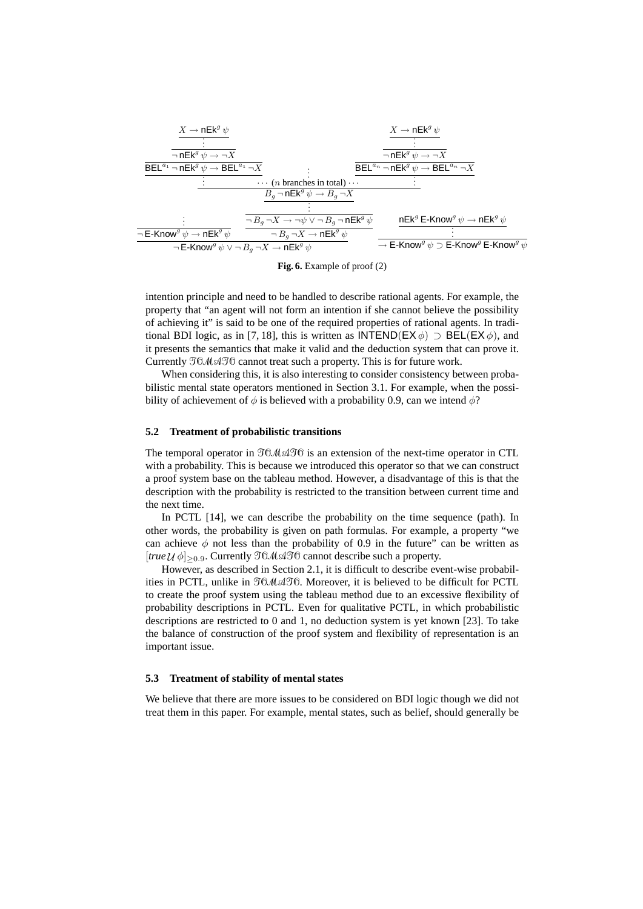*. . . ¬* E-Know*<sup>g</sup> ψ →* nEk*<sup>g</sup> ψ X →* nEk*<sup>g</sup> ψ . . . ¬*nEk*<sup>g</sup> ψ → ¬X* BEL*<sup>a</sup>*<sup>1</sup> *¬*nEk*<sup>g</sup> ψ →* BEL*<sup>a</sup>*<sup>1</sup> *¬X . . . . . . · · ·* (*n* branches in total) *· · · X →* nEk*<sup>g</sup> ψ . . . ¬*nEk*<sup>g</sup> ψ → ¬X* BEL*<sup>a</sup><sup>n</sup> ¬*nEk*<sup>g</sup> ψ →* BEL*<sup>a</sup><sup>n</sup> ¬X . . . B<sup>g</sup> ¬*nEk*<sup>g</sup> ψ → B<sup>g</sup> ¬X . . . ¬ B<sup>g</sup> ¬X → ¬ψ ∨ ¬ B<sup>g</sup> ¬*nEk*<sup>g</sup> ψ ¬ B<sup>g</sup> ¬X →* nEk*<sup>g</sup> ψ ¬*E-Know*<sup>g</sup> ψ ∨ ¬ B<sup>g</sup> ¬X →* nEk*<sup>g</sup> ψ* nEk*<sup>g</sup>* E-Know*<sup>g</sup> ψ →* nEk*<sup>g</sup> ψ . . . →* E-Know*<sup>g</sup> ψ ⊃* E-Know*<sup>g</sup>* E-Know*<sup>g</sup> ψ*

**Fig. 6.** Example of proof (2)

intention principle and need to be handled to describe rational agents. For example, the property that "an agent will not form an intention if she cannot believe the possibility of achieving it" is said to be one of the required properties of rational agents. In traditional BDI logic, as in [7, 18], this is written as  $INTEND(EX \phi) \supset BEL(EX \phi)$ , and it presents the semantics that make it valid and the deduction system that can prove it. Currently *TOMATO*cannot treat such a property. This is for future work.

When considering this, it is also interesting to consider consistency between probabilistic mental state operators mentioned in Section 3.1. For example, when the possibility of achievement of  $\phi$  is believed with a probability 0.9, can we intend  $\phi$ ?

### **5.2 Treatment of probabilistic transitions**

The temporal operator in *TOMATO*is an extension of the next-time operator in CTL with a probability. This is because we introduced this operator so that we can construct a proof system base on the tableau method. However, a disadvantage of this is that the description with the probability is restricted to the transition between current time and the next time.

In PCTL [14], we can describe the probability on the time sequence (path). In other words, the probability is given on path formulas. For example, a property "we can achieve  $\phi$  not less than the probability of 0.9 in the future" can be written as [*true U φ*]*≥*0*.*9. Currently *TOMATO*cannot describe such a property.

However, as described in Section 2.1, it is difficult to describe event-wise probabilities in PCTL, unlike in *TOMATO*. Moreover, it is believed to be difficult for PCTL to create the proof system using the tableau method due to an excessive flexibility of probability descriptions in PCTL. Even for qualitative PCTL, in which probabilistic descriptions are restricted to 0 and 1, no deduction system is yet known [23]. To take the balance of construction of the proof system and flexibility of representation is an important issue.

## **5.3 Treatment of stability of mental states**

We believe that there are more issues to be considered on BDI logic though we did not treat them in this paper. For example, mental states, such as belief, should generally be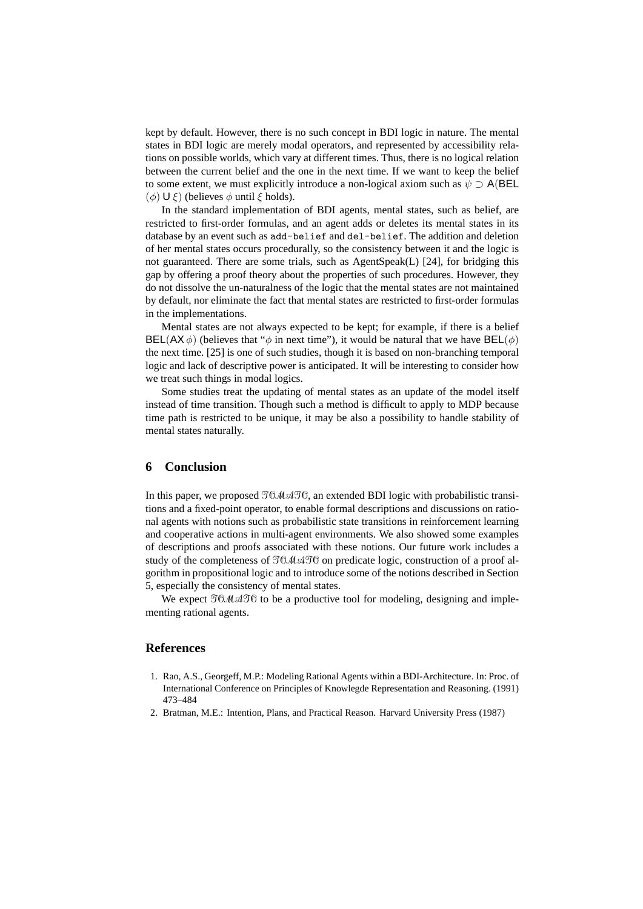kept by default. However, there is no such concept in BDI logic in nature. The mental states in BDI logic are merely modal operators, and represented by accessibility relations on possible worlds, which vary at different times. Thus, there is no logical relation between the current belief and the one in the next time. If we want to keep the belief to some extent, we must explicitly introduce a non-logical axiom such as  $\psi \supset A$ (BEL (*φ*) U *ξ*) (believes *φ* until *ξ* holds).

In the standard implementation of BDI agents, mental states, such as belief, are restricted to first-order formulas, and an agent adds or deletes its mental states in its database by an event such as add-belief and del-belief. The addition and deletion of her mental states occurs procedurally, so the consistency between it and the logic is not guaranteed. There are some trials, such as AgentSpeak(L) [24], for bridging this gap by offering a proof theory about the properties of such procedures. However, they do not dissolve the un-naturalness of the logic that the mental states are not maintained by default, nor eliminate the fact that mental states are restricted to first-order formulas in the implementations.

Mental states are not always expected to be kept; for example, if there is a belief  $BEL(AX\phi)$  (believes that " $\phi$  in next time"), it would be natural that we have  $BEL(\phi)$ the next time. [25] is one of such studies, though it is based on non-branching temporal logic and lack of descriptive power is anticipated. It will be interesting to consider how we treat such things in modal logics.

Some studies treat the updating of mental states as an update of the model itself instead of time transition. Though such a method is difficult to apply to MDP because time path is restricted to be unique, it may be also a possibility to handle stability of mental states naturally.

# **6 Conclusion**

In this paper, we proposed *TOMATO*, an extended BDI logic with probabilistic transitions and a fixed-point operator, to enable formal descriptions and discussions on rational agents with notions such as probabilistic state transitions in reinforcement learning and cooperative actions in multi-agent environments. We also showed some examples of descriptions and proofs associated with these notions. Our future work includes a study of the completeness of *TOMATO*on predicate logic, construction of a proof algorithm in propositional logic and to introduce some of the notions described in Section 5, especially the consistency of mental states.

We expect  $\mathcal{T}^{0}(\mathcal{M}\mathcal{A}^{0})$  to be a productive tool for modeling, designing and implementing rational agents.

## **References**

- 1. Rao, A.S., Georgeff, M.P.: Modeling Rational Agents within a BDI-Architecture. In: Proc. of International Conference on Principles of Knowlegde Representation and Reasoning. (1991) 473–484
- 2. Bratman, M.E.: Intention, Plans, and Practical Reason. Harvard University Press (1987)